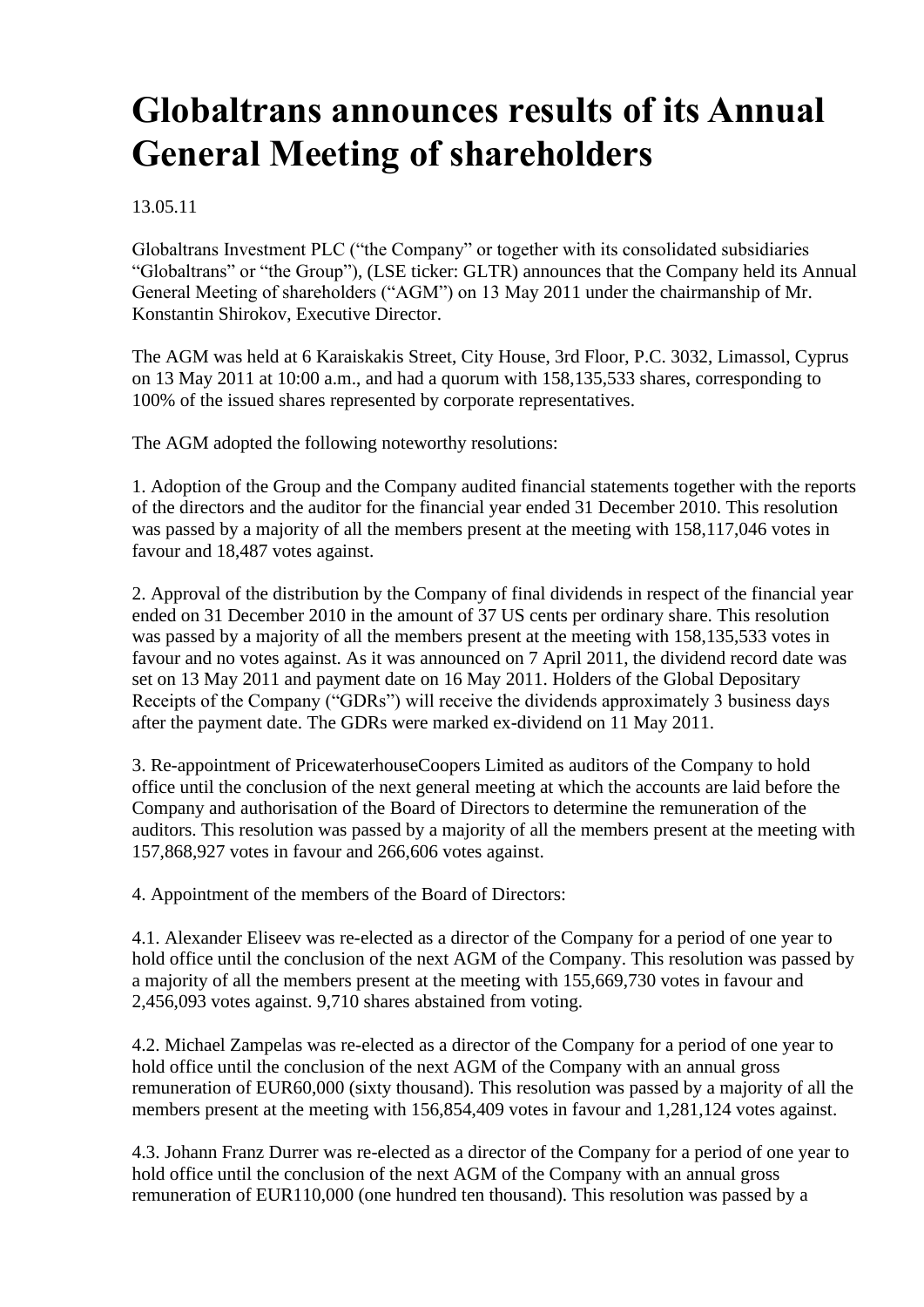# **Globaltrans announces results of its Annual General Meeting of shareholders**

### 13.05.11

Globaltrans Investment PLC ("the Company" or together with its consolidated subsidiaries "Globaltrans" or "the Group"), (LSE ticker: GLTR) announces that the Company held its Annual General Meeting of shareholders ("AGM") on 13 May 2011 under the chairmanship of Mr. Konstantin Shirokov, Executive Director.

The AGM was held at 6 Karaiskakis Street, City House, 3rd Floor, P.C. 3032, Limassol, Cyprus on 13 May 2011 at 10:00 a.m., and had a quorum with 158,135,533 shares, corresponding to 100% of the issued shares represented by corporate representatives.

The AGM adopted the following noteworthy resolutions:

1. Adoption of the Group and the Company audited financial statements together with the reports of the directors and the auditor for the financial year ended 31 December 2010. This resolution was passed by a majority of all the members present at the meeting with 158,117,046 votes in favour and 18,487 votes against.

2. Approval of the distribution by the Company of final dividends in respect of the financial year ended on 31 December 2010 in the amount of 37 US cents per ordinary share. This resolution was passed by a majority of all the members present at the meeting with 158,135,533 votes in favour and no votes against. As it was announced on 7 April 2011, the dividend record date was set on 13 May 2011 and payment date on 16 May 2011. Holders of the Global Depositary Receipts of the Company ("GDRs") will receive the dividends approximately 3 business days after the payment date. The GDRs were marked ex-dividend on 11 May 2011.

3. Re-appointment of PricewaterhouseCoopers Limited as auditors of the Company to hold office until the conclusion of the next general meeting at which the accounts are laid before the Company and authorisation of the Board of Directors to determine the remuneration of the auditors. This resolution was passed by a majority of all the members present at the meeting with 157,868,927 votes in favour and 266,606 votes against.

4. Appointment of the members of the Board of Directors:

4.1. Alexander Eliseev was re-elected as a director of the Company for a period of one year to hold office until the conclusion of the next AGM of the Company. This resolution was passed by a majority of all the members present at the meeting with 155,669,730 votes in favour and 2,456,093 votes against. 9,710 shares abstained from voting.

4.2. Michael Zampelas was re-elected as a director of the Company for a period of one year to hold office until the conclusion of the next AGM of the Company with an annual gross remuneration of EUR60,000 (sixty thousand). This resolution was passed by a majority of all the members present at the meeting with 156,854,409 votes in favour and 1,281,124 votes against.

4.3. Johann Franz Durrer was re-elected as a director of the Company for a period of one year to hold office until the conclusion of the next AGM of the Company with an annual gross remuneration of EUR110,000 (one hundred ten thousand). This resolution was passed by a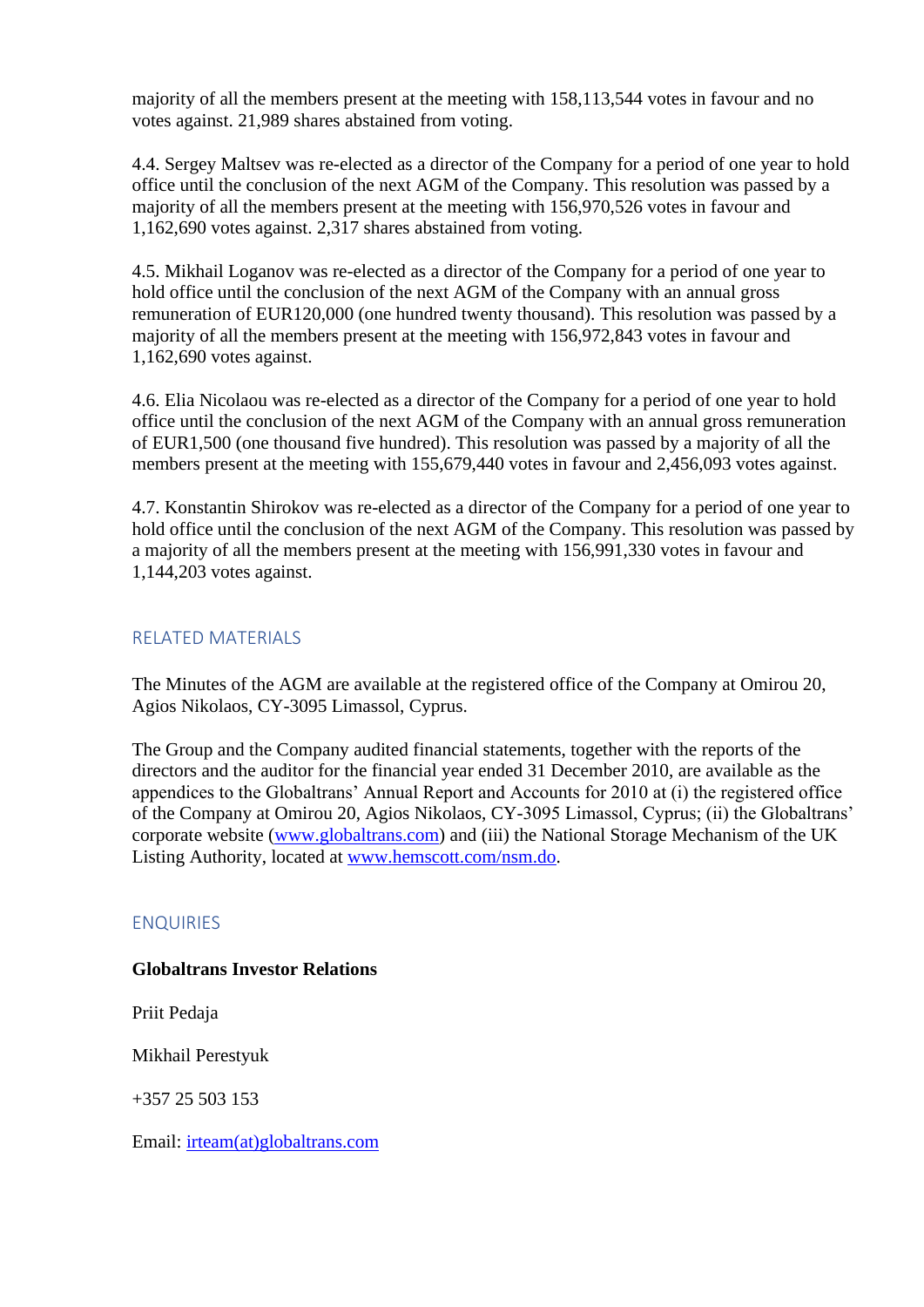majority of all the members present at the meeting with 158,113,544 votes in favour and no votes against. 21,989 shares abstained from voting.

4.4. Sergey Maltsev was re-elected as a director of the Company for a period of one year to hold office until the conclusion of the next AGM of the Company. This resolution was passed by a majority of all the members present at the meeting with 156,970,526 votes in favour and 1,162,690 votes against. 2,317 shares abstained from voting.

4.5. Mikhail Loganov was re-elected as a director of the Company for a period of one year to hold office until the conclusion of the next AGM of the Company with an annual gross remuneration of EUR120,000 (one hundred twenty thousand). This resolution was passed by a majority of all the members present at the meeting with 156,972,843 votes in favour and 1,162,690 votes against.

4.6. Elia Nicolaou was re-elected as a director of the Company for a period of one year to hold office until the conclusion of the next AGM of the Company with an annual gross remuneration of EUR1,500 (one thousand five hundred). This resolution was passed by a majority of all the members present at the meeting with 155,679,440 votes in favour and 2,456,093 votes against.

4.7. Konstantin Shirokov was re-elected as a director of the Company for a period of one year to hold office until the conclusion of the next AGM of the Company. This resolution was passed by a majority of all the members present at the meeting with 156,991,330 votes in favour and 1,144,203 votes against.

# RELATED MATERIALS

The Minutes of the AGM are available at the registered office of the Company at Omirou 20, Agios Nikolaos, CY-3095 Limassol, Cyprus.

The Group and the Company audited financial statements, together with the reports of the directors and the auditor for the financial year ended 31 December 2010, are available as the appendices to the Globaltrans' Annual Report and Accounts for 2010 at (i) the registered office of the Company at Omirou 20, Agios Nikolaos, CY-3095 Limassol, Cyprus; (ii) the Globaltrans' corporate website [\(www.globaltrans.com\)](file:///C:/Documents%20and%20Settings/Kutishchev/Ð Ð°Ð±Ð¾ÑÐ¸Ð¹%20ÑÑÐ¾Ð»/www.globaltrans.com) and (iii) the National Storage Mechanism of the UK Listing Authority, located at [www.hemscott.com/nsm.do.](file:///C:/Documents%20and%20Settings/Kutishchev/Ð Ð°Ð±Ð¾ÑÐ¸Ð¹%20ÑÑÐ¾Ð»/www.hemscott.com/nsm.do)

#### ENQUIRIES

#### **Globaltrans Investor Relations**

Priit Pedaja

Mikhail Perestyuk

 $+357$  25 503 153

Email: [irteam\(at\)globaltrans.com](mailto:irteam@globaltrans.com)